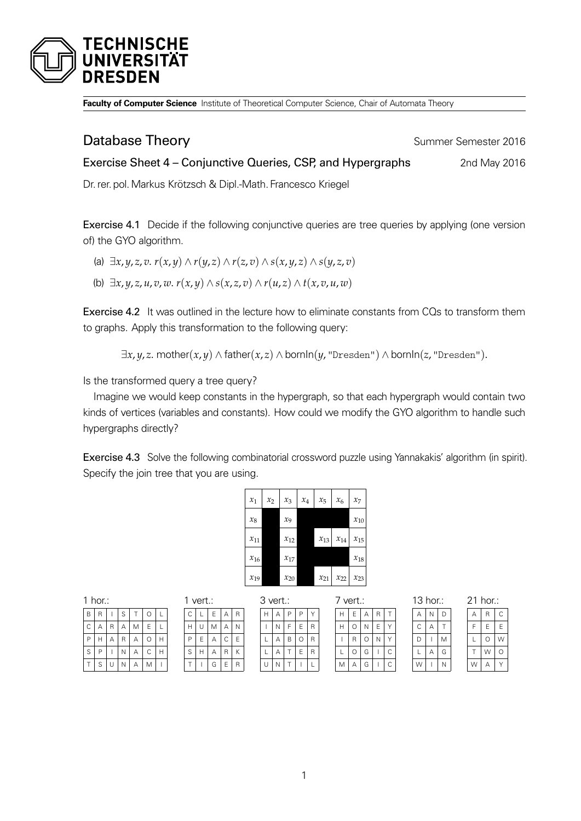

**Faculty of Computer Science** Institute of Theoretical Computer Science, Chair of Automata Theory

## **Database Theory Summer Semester 2016**

Exercise Sheet 4 – Conjunctive Queries, CSP, and Hypergraphs 2nd May 2016

Dr. rer. pol.Markus Krötzsch & Dipl.-Math. Francesco Kriegel

Exercise 4.1 Decide if the following conjunctive queries are tree queries by applying (one version of) the GYO algorithm.

- (a)  $\exists x, y, z, v, r(x, y) \wedge r(y, z) \wedge r(z, v) \wedge s(x, y, z) \wedge s(y, z, v)$
- (b) ∃*x*, *y*, *z*, *u*, *v*, *w*. *r*(*x*, *y*) ∧ *s*(*x*, *z*, *v*) ∧ *r*(*u*, *z*) ∧ *t*(*x*, *v*, *u*, *w*)

Exercise 4.2 It was outlined in the lecture how to eliminate constants from CQs to transform them to graphs. Apply this transformation to the following query:

 $\exists x, y, z$ . mother $(x, y) \wedge \text{father}(x, z) \wedge \text{bornIn}(y, \text{``Dresden''}) \wedge \text{bornIn}(z, \text{``Dresden''}).$ 

Is the transformed query a tree query?

Imagine we would keep constants in the hypergraph, so that each hypergraph would contain two kinds of vertices (variables and constants). How could we modify the GYO algorithm to handle such hypergraphs directly?

Exercise 4.3 Solve the following combinatorial crossword puzzle using Yannakakis' algorithm (in spirit). Specify the join tree that you are using.

| $x_1$    | $x_2$ | $x_3$             | $x_4$ | $x_{5}$  | $x_6$    | $x_7$    |
|----------|-------|-------------------|-------|----------|----------|----------|
| $x_8$    |       | $\chi_{\text{Q}}$ |       |          |          | $x_{10}$ |
| $x_{11}$ |       | $x_{12}$          |       | $x_{13}$ | $x_{14}$ | $x_{15}$ |
| $x_{16}$ |       | $x_{17}$          |       |          |          | $x_{18}$ |
| $x_{19}$ |       | $x_{20}$          |       | $x_{21}$ | $x_{22}$ | $x_{23}$ |

3 vert.:

|  | ×<br>۰, |  |
|--|---------|--|
|  |         |  |

| B           | $\overline{R}$ |              | S              | T | $\circ$     | L              |  |
|-------------|----------------|--------------|----------------|---|-------------|----------------|--|
| $\mathsf C$ | Α              | $\mathsf{R}$ | А              | M | $\mathsf E$ | L              |  |
| P           | H              | Α            | $\overline{R}$ | Α | $\circ$     | $\overline{H}$ |  |
| S           | P              |              | N              | Α | C           | $\overline{H}$ |  |
| T           | S              | U            | N              | Α | M           |                |  |

| 1 | vert.: |   |   |   |  |  |  |
|---|--------|---|---|---|--|--|--|
| C | L      | E | A | R |  |  |  |
| Н | U      | M | Α | N |  |  |  |
| P | Ė      | Α | C | Ē |  |  |  |
| S | н      | А | R | K |  |  |  |
|   |        | G | E | R |  |  |  |

|   | 3 vert.: |   |   |   | 7 vert.: |   |   |   |   |   |
|---|----------|---|---|---|----------|---|---|---|---|---|
| Н | А        | Ρ | Ρ |   |          |   | E | А | R |   |
|   | Ν        | F | F | R |          |   | Ω | Ν | E |   |
| L | А        | В | 0 | R |          |   | R | Ω | Ν |   |
| L | Α        |   | F | R |          |   | Ω | G |   | Ċ |
| U | Ν        |   |   |   |          | М | А | G |   |   |

| 13 hor.: |   |   |  |  |  |
|----------|---|---|--|--|--|
| А        | N | D |  |  |  |
| C        |   |   |  |  |  |
| D        |   | М |  |  |  |
|          |   | G |  |  |  |
| W        |   | Ν |  |  |  |

| 21<br>hor.: |   |   |  |  |  |
|-------------|---|---|--|--|--|
| А           | R | C |  |  |  |
| F           | F | F |  |  |  |
| L           | ∩ | W |  |  |  |
|             | W | Г |  |  |  |
|             |   |   |  |  |  |